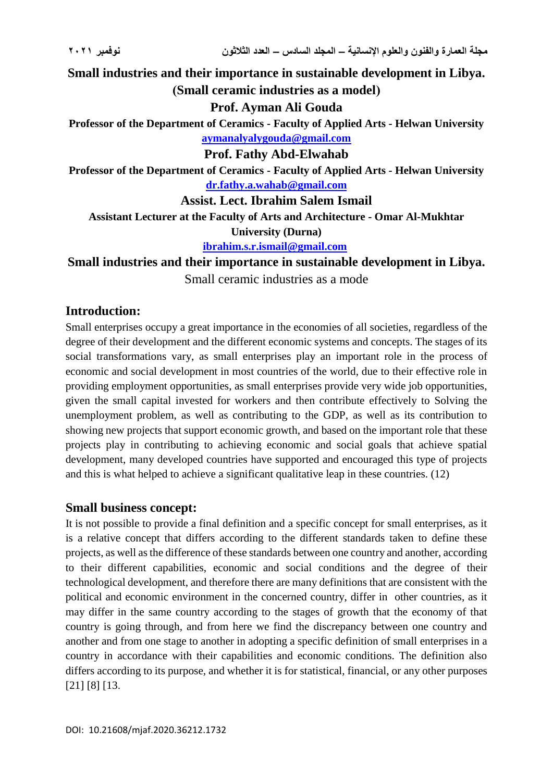**Small industries and their importance in sustainable development in Libya. (Small ceramic industries as a model)** 

**Prof. Ayman Ali Gouda**

**Professor of the Department of Ceramics - Faculty of Applied Arts - Helwan University [aymanalyalygouda@gmail.com](mailto:aymanalyalygouda@gmail.com)**

**Prof. Fathy Abd-Elwahab**

**Professor of the Department of Ceramics - Faculty of Applied Arts - Helwan University [dr.fathy.a.wahab@gmail.com](mailto:dr.fathy.a.wahab@gmail.com)**

**Assist. Lect. Ibrahim Salem Ismail** 

**Assistant Lecturer at the Faculty of Arts and Architecture - Omar Al-Mukhtar University (Durna)**

**[ibrahim.s.r.ismail@gmail.com](mailto:ibrahim.s.r.ismail@gmail.com)**

**Small industries and their importance in sustainable development in Libya.** Small ceramic industries as a mode

#### **Introduction:**

Small enterprises occupy a great importance in the economies of all societies, regardless of the degree of their development and the different economic systems and concepts. The stages of its social transformations vary, as small enterprises play an important role in the process of economic and social development in most countries of the world, due to their effective role in providing employment opportunities, as small enterprises provide very wide job opportunities, given the small capital invested for workers and then contribute effectively to Solving the unemployment problem, as well as contributing to the GDP, as well as its contribution to showing new projects that support economic growth, and based on the important role that these projects play in contributing to achieving economic and social goals that achieve spatial development, many developed countries have supported and encouraged this type of projects and this is what helped to achieve a significant qualitative leap in these countries. (12)

#### **Small business concept:**

It is not possible to provide a final definition and a specific concept for small enterprises, as it is a relative concept that differs according to the different standards taken to define these projects, as well as the difference of these standards between one country and another, according to their different capabilities, economic and social conditions and the degree of their technological development, and therefore there are many definitions that are consistent with the political and economic environment in the concerned country, differ in other countries, as it may differ in the same country according to the stages of growth that the economy of that country is going through, and from here we find the discrepancy between one country and another and from one stage to another in adopting a specific definition of small enterprises in a country in accordance with their capabilities and economic conditions. The definition also differs according to its purpose, and whether it is for statistical, financial, or any other purposes [21] [8] [13.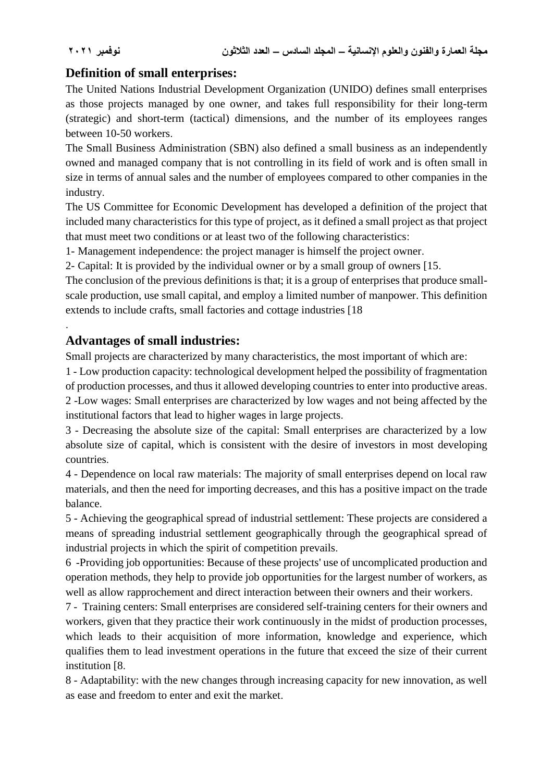.

## **Definition of small enterprises:**

The United Nations Industrial Development Organization (UNIDO) defines small enterprises as those projects managed by one owner, and takes full responsibility for their long-term (strategic) and short-term (tactical) dimensions, and the number of its employees ranges between 10-50 workers.

The Small Business Administration (SBN) also defined a small business as an independently owned and managed company that is not controlling in its field of work and is often small in size in terms of annual sales and the number of employees compared to other companies in the industry.

The US Committee for Economic Development has developed a definition of the project that included many characteristics for this type of project, as it defined a small project as that project that must meet two conditions or at least two of the following characteristics:

1- Management independence: the project manager is himself the project owner.

2- Capital: It is provided by the individual owner or by a small group of owners [15.

The conclusion of the previous definitions is that; it is a group of enterprises that produce smallscale production, use small capital, and employ a limited number of manpower. This definition extends to include crafts, small factories and cottage industries [18

# **Advantages of small industries:**

Small projects are characterized by many characteristics, the most important of which are:

1 - Low production capacity: technological development helped the possibility of fragmentation of production processes, and thus it allowed developing countries to enter into productive areas.

2 -Low wages: Small enterprises are characterized by low wages and not being affected by the institutional factors that lead to higher wages in large projects.

3 - Decreasing the absolute size of the capital: Small enterprises are characterized by a low absolute size of capital, which is consistent with the desire of investors in most developing countries.

4 - Dependence on local raw materials: The majority of small enterprises depend on local raw materials, and then the need for importing decreases, and this has a positive impact on the trade balance.

5 - Achieving the geographical spread of industrial settlement: These projects are considered a means of spreading industrial settlement geographically through the geographical spread of industrial projects in which the spirit of competition prevails.

6 -Providing job opportunities: Because of these projects' use of uncomplicated production and operation methods, they help to provide job opportunities for the largest number of workers, as well as allow rapprochement and direct interaction between their owners and their workers.

7 - Training centers: Small enterprises are considered self-training centers for their owners and workers, given that they practice their work continuously in the midst of production processes, which leads to their acquisition of more information, knowledge and experience, which qualifies them to lead investment operations in the future that exceed the size of their current institution [8.

8 - Adaptability: with the new changes through increasing capacity for new innovation, as well as ease and freedom to enter and exit the market.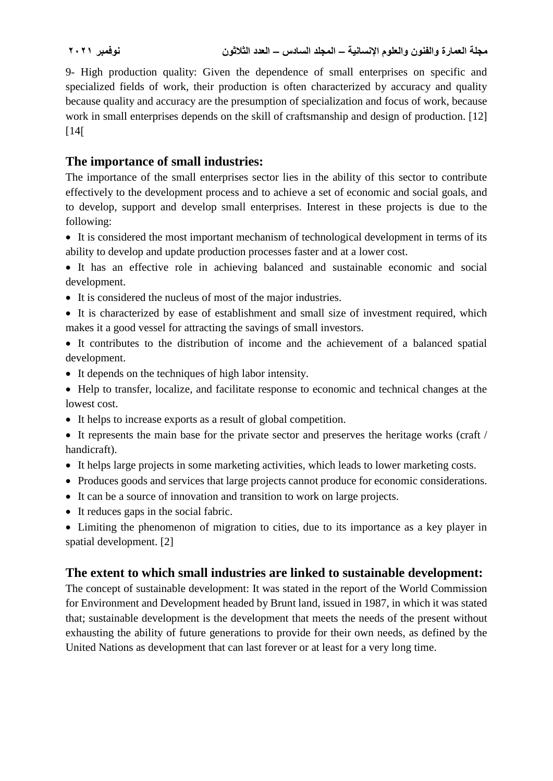9- High production quality: Given the dependence of small enterprises on specific and specialized fields of work, their production is often characterized by accuracy and quality because quality and accuracy are the presumption of specialization and focus of work, because work in small enterprises depends on the skill of craftsmanship and design of production. [12]  $[14]$ 

## **The importance of small industries:**

The importance of the small enterprises sector lies in the ability of this sector to contribute effectively to the development process and to achieve a set of economic and social goals, and to develop, support and develop small enterprises. Interest in these projects is due to the following:

 It is considered the most important mechanism of technological development in terms of its ability to develop and update production processes faster and at a lower cost.

 It has an effective role in achieving balanced and sustainable economic and social development.

- It is considered the nucleus of most of the major industries.
- It is characterized by ease of establishment and small size of investment required, which makes it a good vessel for attracting the savings of small investors.
- It contributes to the distribution of income and the achievement of a balanced spatial development.
- It depends on the techniques of high labor intensity.
- Help to transfer, localize, and facilitate response to economic and technical changes at the lowest cost.
- It helps to increase exports as a result of global competition.
- It represents the main base for the private sector and preserves the heritage works (craft / handicraft).
- It helps large projects in some marketing activities, which leads to lower marketing costs.
- Produces goods and services that large projects cannot produce for economic considerations.
- It can be a source of innovation and transition to work on large projects.
- It reduces gaps in the social fabric.
- Limiting the phenomenon of migration to cities, due to its importance as a key player in spatial development. [2]

## **The extent to which small industries are linked to sustainable development:**

The concept of sustainable development: It was stated in the report of the World Commission for Environment and Development headed by Brunt land, issued in 1987, in which it was stated that; sustainable development is the development that meets the needs of the present without exhausting the ability of future generations to provide for their own needs, as defined by the United Nations as development that can last forever or at least for a very long time.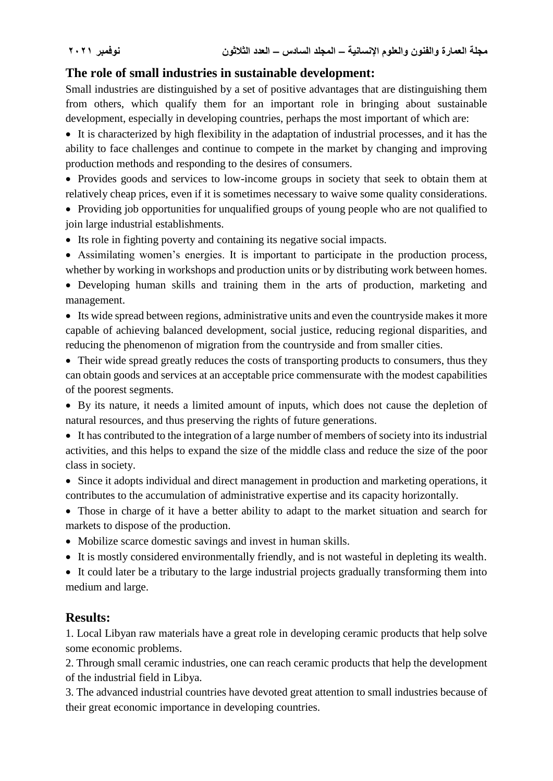## **The role of small industries in sustainable development:**

Small industries are distinguished by a set of positive advantages that are distinguishing them from others, which qualify them for an important role in bringing about sustainable development, especially in developing countries, perhaps the most important of which are:

 It is characterized by high flexibility in the adaptation of industrial processes, and it has the ability to face challenges and continue to compete in the market by changing and improving production methods and responding to the desires of consumers.

• Provides goods and services to low-income groups in society that seek to obtain them at relatively cheap prices, even if it is sometimes necessary to waive some quality considerations.

• Providing job opportunities for unqualified groups of young people who are not qualified to join large industrial establishments.

- Its role in fighting poverty and containing its negative social impacts.
- Assimilating women's energies. It is important to participate in the production process, whether by working in workshops and production units or by distributing work between homes.

 Developing human skills and training them in the arts of production, marketing and management.

 Its wide spread between regions, administrative units and even the countryside makes it more capable of achieving balanced development, social justice, reducing regional disparities, and reducing the phenomenon of migration from the countryside and from smaller cities.

• Their wide spread greatly reduces the costs of transporting products to consumers, thus they can obtain goods and services at an acceptable price commensurate with the modest capabilities of the poorest segments.

 By its nature, it needs a limited amount of inputs, which does not cause the depletion of natural resources, and thus preserving the rights of future generations.

 It has contributed to the integration of a large number of members of society into its industrial activities, and this helps to expand the size of the middle class and reduce the size of the poor class in society.

 Since it adopts individual and direct management in production and marketing operations, it contributes to the accumulation of administrative expertise and its capacity horizontally.

 Those in charge of it have a better ability to adapt to the market situation and search for markets to dispose of the production.

- Mobilize scarce domestic savings and invest in human skills.
- It is mostly considered environmentally friendly, and is not wasteful in depleting its wealth.

• It could later be a tributary to the large industrial projects gradually transforming them into medium and large.

## **Results:**

1. Local Libyan raw materials have a great role in developing ceramic products that help solve some economic problems.

2. Through small ceramic industries, one can reach ceramic products that help the development of the industrial field in Libya.

3. The advanced industrial countries have devoted great attention to small industries because of their great economic importance in developing countries.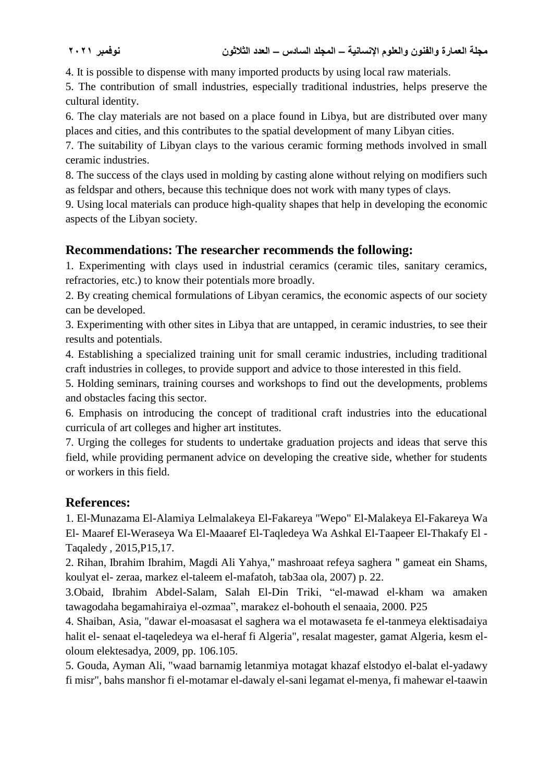4. It is possible to dispense with many imported products by using local raw materials.

5. The contribution of small industries, especially traditional industries, helps preserve the cultural identity.

6. The clay materials are not based on a place found in Libya, but are distributed over many places and cities, and this contributes to the spatial development of many Libyan cities.

7. The suitability of Libyan clays to the various ceramic forming methods involved in small ceramic industries.

8. The success of the clays used in molding by casting alone without relying on modifiers such as feldspar and others, because this technique does not work with many types of clays.

9. Using local materials can produce high-quality shapes that help in developing the economic aspects of the Libyan society.

# **Recommendations: The researcher recommends the following:**

1. Experimenting with clays used in industrial ceramics (ceramic tiles, sanitary ceramics, refractories, etc.) to know their potentials more broadly.

2. By creating chemical formulations of Libyan ceramics, the economic aspects of our society can be developed.

3. Experimenting with other sites in Libya that are untapped, in ceramic industries, to see their results and potentials.

4. Establishing a specialized training unit for small ceramic industries, including traditional craft industries in colleges, to provide support and advice to those interested in this field.

5. Holding seminars, training courses and workshops to find out the developments, problems and obstacles facing this sector.

6. Emphasis on introducing the concept of traditional craft industries into the educational curricula of art colleges and higher art institutes.

7. Urging the colleges for students to undertake graduation projects and ideas that serve this field, while providing permanent advice on developing the creative side, whether for students or workers in this field.

## **References:**

1. El-Munazama El-Alamiya Lelmalakeya El-Fakareya "Wepo" El-Malakeya El-Fakareya Wa El- Maaref El-Weraseya Wa El-Maaaref El-Taqledeya Wa Ashkal El-Taapeer El-Thakafy El - Taqaledy , 2015,P15,17.

2. Rihan, Ibrahim Ibrahim, Magdi Ali Yahya," mashroaat refeya saghera " gameat ein Shams, koulyat el- zeraa, markez el-taleem el-mafatoh, tab3aa ola, 2007) p. 22.

3.Obaid, Ibrahim Abdel-Salam, Salah El-Din Triki, "el-mawad el-kham wa amaken tawagodaha begamahiraiya el-ozmaa", marakez el-bohouth el senaaia, 2000. P25

4. Shaiban, Asia, "dawar el-moasasat el saghera wa el motawaseta fe el-tanmeya elektisadaiya halit el- senaat el-taqeledeya wa el-heraf fi Algeria", resalat magester, gamat Algeria, kesm eloloum elektesadya, 2009, pp. 106.105.

5. Gouda, Ayman Ali, "waad barnamig letanmiya motagat khazaf elstodyo el-balat el-yadawy fi misr", bahs manshor fi el-motamar el-dawaly el-sani legamat el-menya, fi mahewar el-taawin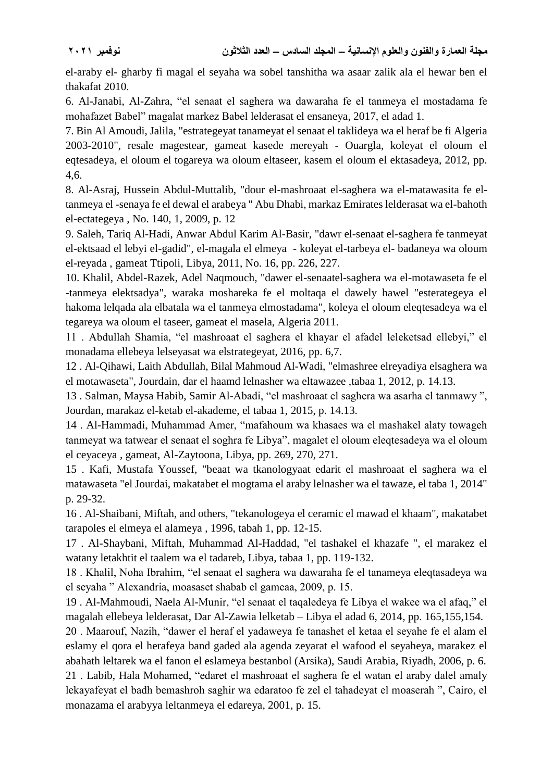el-araby el- gharby fi magal el seyaha wa sobel tanshitha wa asaar zalik ala el hewar ben el thakafat 2010.

6. Al-Janabi, Al-Zahra, "el senaat el saghera wa dawaraha fe el tanmeya el mostadama fe mohafazet Babel" magalat markez Babel lelderasat el ensaneya, 2017, el adad 1.

7. Bin Al Amoudi, Jalila, "estrategeyat tanameyat el senaat el taklideya wa el heraf be fi Algeria 2003-2010", resale magestear, gameat kasede mereyah - Ouargla, koleyat el oloum el eqtesadeya, el oloum el togareya wa oloum eltaseer, kasem el oloum el ektasadeya, 2012, pp. 4,6.

8. Al-Asraj, Hussein Abdul-Muttalib, "dour el-mashroaat el-saghera wa el-matawasita fe eltanmeya el -senaya fe el dewal el arabeya " Abu Dhabi, markaz Emirates lelderasat wa el-bahoth el-ectategeya , No. 140, 1, 2009, p. 12

9. Saleh, Tariq Al-Hadi, Anwar Abdul Karim Al-Basir, "dawr el-senaat el-saghera fe tanmeyat el-ektsaad el lebyi el-gadid", el-magala el elmeya - koleyat el-tarbeya el- badaneya wa oloum el-reyada , gameat Ttipoli, Libya, 2011, No. 16, pp. 226, 227.

10. Khalil, Abdel-Razek, Adel Naqmouch, "dawer el-senaatel-saghera wa el-motawaseta fe el -tanmeya elektsadya", waraka moshareka fe el moltaqa el dawely hawel "esterategeya el hakoma lelqada ala elbatala wa el tanmeya elmostadama", koleya el oloum eleqtesadeya wa el tegareya wa oloum el taseer, gameat el masela, Algeria 2011.

11 . Abdullah Shamia, "el mashroaat el saghera el khayar el afadel leleketsad ellebyi," el monadama ellebeya lelseyasat wa elstrategeyat, 2016, pp. 6,7.

12 . Al-Qihawi, Laith Abdullah, Bilal Mahmoud Al-Wadi, "elmashree elreyadiya elsaghera wa el motawaseta", Jourdain, dar el haamd lelnasher wa eltawazee ,tabaa 1, 2012, p. 14.13.

13 . Salman, Maysa Habib, Samir Al-Abadi, "el mashroaat el saghera wa asarha el tanmawy ", Jourdan, marakaz el-ketab el-akademe, el tabaa 1, 2015, p. 14.13.

14 . Al-Hammadi, Muhammad Amer, "mafahoum wa khasaes wa el mashakel alaty towageh tanmeyat wa tatwear el senaat el soghra fe Libya", magalet el oloum eleqtesadeya wa el oloum el ceyaceya , gameat, Al-Zaytoona, Libya, pp. 269, 270, 271.

15 . Kafi, Mustafa Youssef, "beaat wa tkanologyaat edarit el mashroaat el saghera wa el matawaseta "el Jourdai, makatabet el mogtama el araby lelnasher wa el tawaze, el taba 1, 2014" p. 29-32.

16 . Al-Shaibani, Miftah, and others, "tekanologeya el ceramic el mawad el khaam", makatabet tarapoles el elmeya el alameya , 1996, tabah 1, pp. 12-15.

17 . Al-Shaybani, Miftah, Muhammad Al-Haddad, "el tashakel el khazafe ", el marakez el watany letakhtit el taalem wa el tadareb, Libya, tabaa 1, pp. 119-132.

18 . Khalil, Noha Ibrahim, "el senaat el saghera wa dawaraha fe el tanameya eleqtasadeya wa el seyaha " Alexandria, moasaset shabab el gameaa, 2009, p. 15.

19 . Al-Mahmoudi, Naela Al-Munir, "el senaat el taqaledeya fe Libya el wakee wa el afaq," el magalah ellebeya lelderasat, Dar Al-Zawia lelketab – Libya el adad 6, 2014, pp. 165,155,154.

20 . Maarouf, Nazih, "dawer el heraf el yadaweya fe tanashet el ketaa el seyahe fe el alam el eslamy el qora el herafeya band gaded ala agenda zeyarat el wafood el seyaheya, marakez el abahath leltarek wa el fanon el eslameya bestanbol (Arsika), Saudi Arabia, Riyadh, 2006, p. 6. 21 . Labib, Hala Mohamed, "edaret el mashroaat el saghera fe el watan el araby dalel amaly lekayafeyat el badh bemashroh saghir wa edaratoo fe zel el tahadeyat el moaserah ", Cairo, el monazama el arabyya leltanmeya el edareya, 2001, p. 15.